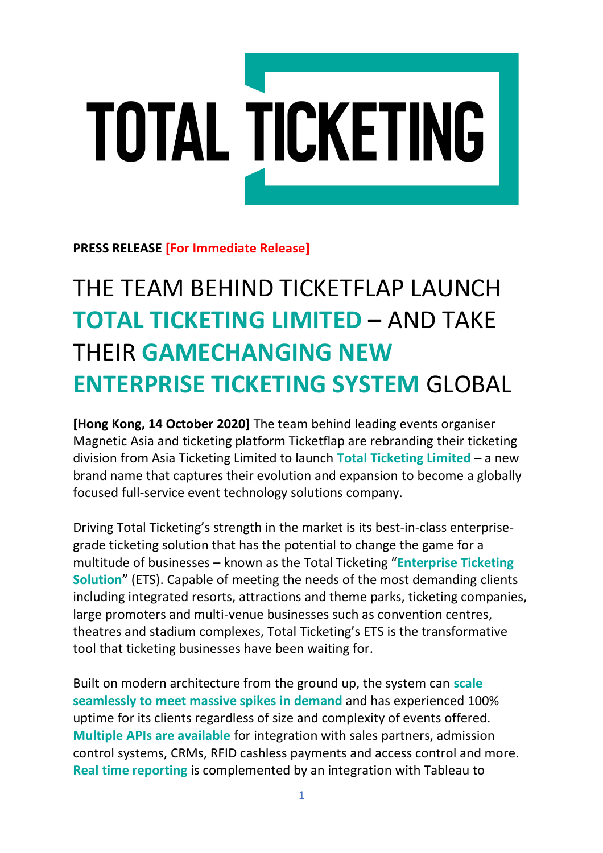## TOTAL TICKETING

**PRESS RELEASE [For Immediate Release]** 

## THE TEAM BEHIND TICKETFLAP LAUNCH **TOTAL TICKETING LIMITED –** AND TAKE THEIR **GAMECHANGING NEW ENTERPRISE TICKETING SYSTEM** GLOBAL

**[Hong Kong, 14 October 2020]** The team behind leading events organiser Magnetic Asia and ticketing platform Ticketflap are rebranding their ticketing division from Asia Ticketing Limited to launch **Total Ticketing Limited** – a new brand name that captures their evolution and expansion to become a globally focused full-service event technology solutions company.

Driving Total Ticketing's strength in the market is its best-in-class enterprisegrade ticketing solution that has the potential to change the game for a multitude of businesses – known as the Total Ticketing "**Enterprise Ticketing Solution**" (ETS). Capable of meeting the needs of the most demanding clients including integrated resorts, attractions and theme parks, ticketing companies, large promoters and multi-venue businesses such as convention centres, theatres and stadium complexes, Total Ticketing's ETS is the transformative tool that ticketing businesses have been waiting for.

Built on modern architecture from the ground up, the system can **scale seamlessly to meet massive spikes in demand** and has experienced 100% uptime for its clients regardless of size and complexity of events offered. **Multiple APIs are available** for integration with sales partners, admission control systems, CRMs, RFID cashless payments and access control and more. **Real time reporting** is complemented by an integration with Tableau to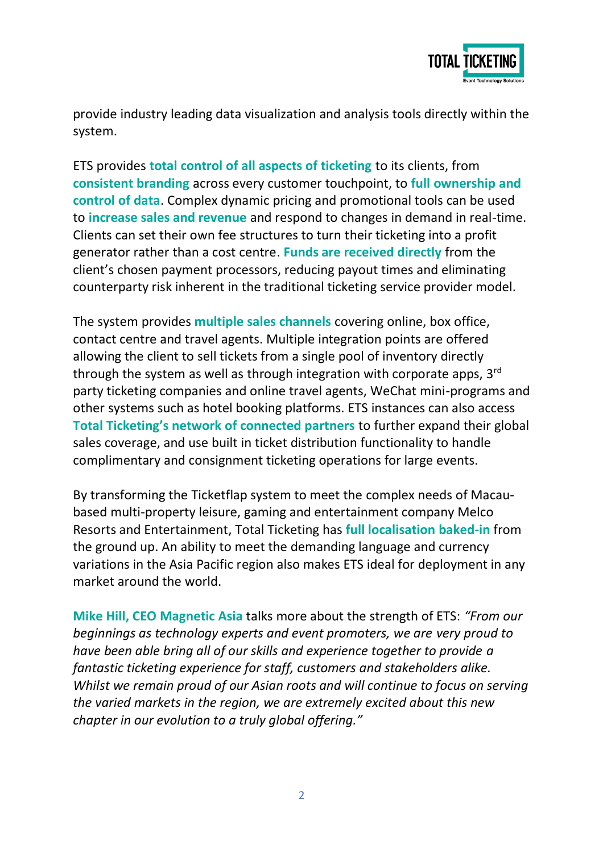

provide industry leading data visualization and analysis tools directly within the system.

ETS provides **total control of all aspects of ticketing** to its clients, from **consistent branding** across every customer touchpoint, to **full ownership and control of data**. Complex dynamic pricing and promotional tools can be used to **increase sales and revenue** and respond to changes in demand in real-time. Clients can set their own fee structures to turn their ticketing into a profit generator rather than a cost centre. **Funds are received directly** from the client's chosen payment processors, reducing payout times and eliminating counterparty risk inherent in the traditional ticketing service provider model.

The system provides **multiple sales channels** covering online, box office, contact centre and travel agents. Multiple integration points are offered allowing the client to sell tickets from a single pool of inventory directly through the system as well as through integration with corporate apps, 3rd party ticketing companies and online travel agents, WeChat mini-programs and other systems such as hotel booking platforms. ETS instances can also access **Total Ticketing's network of connected partners** to further expand their global sales coverage, and use built in ticket distribution functionality to handle complimentary and consignment ticketing operations for large events.

By transforming the Ticketflap system to meet the complex needs of Macaubased multi-property leisure, gaming and entertainment company Melco Resorts and Entertainment, Total Ticketing has **full localisation baked-in** from the ground up. An ability to meet the demanding language and currency variations in the Asia Pacific region also makes ETS ideal for deployment in any market around the world.

**Mike Hill, CEO Magnetic Asia** talks more about the strength of ETS: *"From our beginnings as technology experts and event promoters, we are very proud to have been able bring all of our skills and experience together to provide a fantastic ticketing experience for staff, customers and stakeholders alike. Whilst we remain proud of our Asian roots and will continue to focus on serving the varied markets in the region, we are extremely excited about this new chapter in our evolution to a truly global offering."*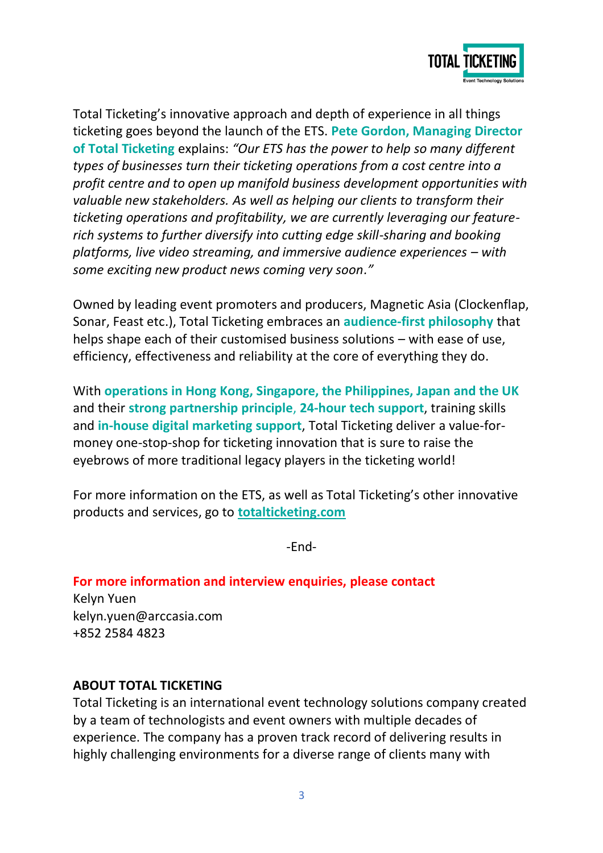

Total Ticketing's innovative approach and depth of experience in all things ticketing goes beyond the launch of the ETS. **Pete Gordon, Managing Director of Total Ticketing** explains: *"Our ETS has the power to help so many different types of businesses turn their ticketing operations from a cost centre into a profit centre and to open up manifold business development opportunities with valuable new stakeholders. As well as helping our clients to transform their ticketing operations and profitability, we are currently leveraging our featurerich systems to further diversify into cutting edge skill-sharing and booking platforms, live video streaming, and immersive audience experiences – with some exciting new product news coming very soon."*

Owned by leading event promoters and producers, Magnetic Asia (Clockenflap, Sonar, Feast etc.), Total Ticketing embraces an **audience-first philosophy** that helps shape each of their customised business solutions – with ease of use, efficiency, effectiveness and reliability at the core of everything they do.

With **operations in Hong Kong, Singapore, the Philippines, Japan and the UK**  and their **strong partnership principle**, **24-hour tech support**, training skills and **in-house digital marketing support**, Total Ticketing deliver a value-formoney one-stop-shop for ticketing innovation that is sure to raise the eyebrows of more traditional legacy players in the ticketing world!

For more information on the ETS, as well as Total Ticketing's other innovative products and services, go to **totalticketing.com**

-End-

**For more information and interview enquiries, please contact**

Kelyn Yuen [kelyn.yuen@arccasia.com](mailto:kelyn.yuen@magneticasia.com) +852 2584 4823

## **ABOUT TOTAL TICKETING**

Total Ticketing is an international event technology solutions company created by a team of technologists and event owners with multiple decades of experience. The company has a proven track record of delivering results in highly challenging environments for a diverse range of clients many with